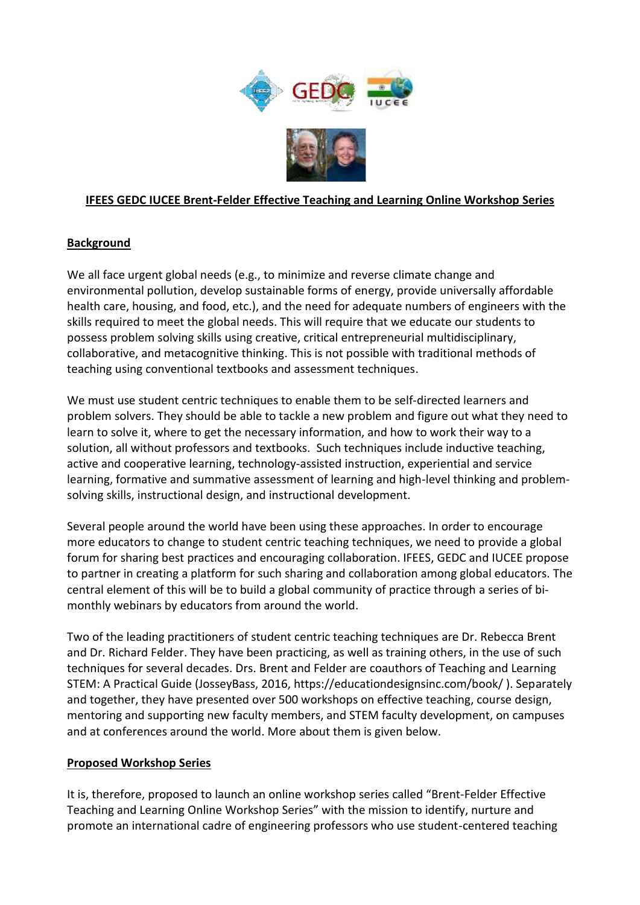

#### **IFEES GEDC IUCEE Brent-Felder Effective Teaching and Learning Online Workshop Series**

### **Background**

We all face urgent global needs (e.g., to minimize and reverse climate change and environmental pollution, develop sustainable forms of energy, provide universally affordable health care, housing, and food, etc.), and the need for adequate numbers of engineers with the skills required to meet the global needs. This will require that we educate our students to possess problem solving skills using creative, critical entrepreneurial multidisciplinary, collaborative, and metacognitive thinking. This is not possible with traditional methods of teaching using conventional textbooks and assessment techniques.

We must use student centric techniques to enable them to be self-directed learners and problem solvers. They should be able to tackle a new problem and figure out what they need to learn to solve it, where to get the necessary information, and how to work their way to a solution, all without professors and textbooks. Such techniques include inductive teaching, active and cooperative learning, technology-assisted instruction, experiential and service learning, formative and summative assessment of learning and high-level thinking and problemsolving skills, instructional design, and instructional development.

Several people around the world have been using these approaches. In order to encourage more educators to change to student centric teaching techniques, we need to provide a global forum for sharing best practices and encouraging collaboration. IFEES, GEDC and IUCEE propose to partner in creating a platform for such sharing and collaboration among global educators. The central element of this will be to build a global community of practice through a series of bimonthly webinars by educators from around the world.

Two of the leading practitioners of student centric teaching techniques are Dr. Rebecca Brent and Dr. Richard Felder. They have been practicing, as well as training others, in the use of such techniques for several decades. Drs. Brent and Felder are coauthors of Teaching and Learning STEM: A Practical Guide (JosseyBass, 2016, https://educationdesignsinc.com/book/ ). Separately and together, they have presented over 500 workshops on effective teaching, course design, mentoring and supporting new faculty members, and STEM faculty development, on campuses and at conferences around the world. More about them is given below.

#### **Proposed Workshop Series**

It is, therefore, proposed to launch an online workshop series called "Brent-Felder Effective Teaching and Learning Online Workshop Series" with the mission to identify, nurture and promote an international cadre of engineering professors who use student-centered teaching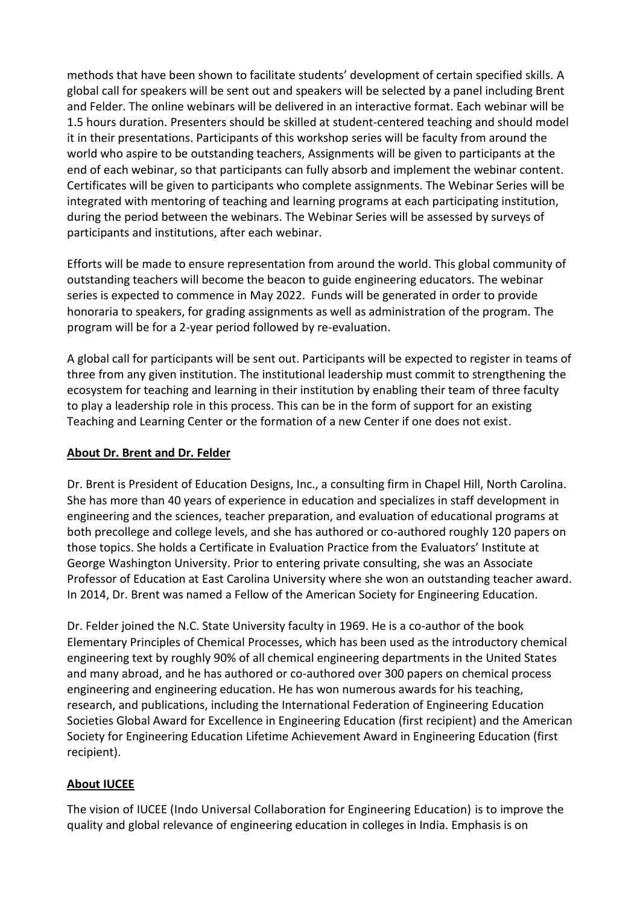methods that have been shown to facilitate students' development of certain specified skills. A global call for speakers will be sent out and speakers will be selected by a panel including Brent and Felder. The online webinars will be delivered in an interactive format. Each webinar will be 1.5 hours duration. Presenters should be skilled at student-centered teaching and should model it in their presentations. Participants of this workshop series will be faculty from around the world who aspire to be outstanding teachers, Assignments will be given to participants at the end of each webinar, so that participants can fully absorb and implement the webinar content. Certificates will be given to participants who complete assignments. The Webinar Series will be integrated with mentoring of teaching and learning programs at each participating institution, during the period between the webinars. The Webinar Series will be assessed by surveys of participants and institutions, after each webinar.

Efforts will be made to ensure representation from around the world. This global community of outstanding teachers will become the beacon to guide engineering educators. The webinar series is expected to commence in May 2022. Funds will be generated in order to provide honoraria to speakers, for grading assignments as well as administration of the program. The program will be for a 2-year period followed by re-evaluation.

A global call for participants will be sent out. Participants will be expected to register in teams of three from any given institution. The institutional leadership must commit to strengthening the ecosystem for teaching and learning in their institution by enabling their team of three faculty to play a leadership role in this process. This can be in the form of support for an existing Teaching and Learning Center or the formation of a new Center if one does not exist.

#### **About Dr. Brent and Dr. Felder**

Dr. Brent is President of Education Designs, Inc., a consulting firm in Chapel Hill, North Carolina. She has more than 40 years of experience in education and specializes in staff development in engineering and the sciences, teacher preparation, and evaluation of educational programs at both precollege and college levels, and she has authored or co-authored roughly 120 papers on those topics. She holds a Certificate in Evaluation Practice from the Evaluators' Institute at George Washington University. Prior to entering private consulting, she was an Associate Professor of Education at East Carolina University where she won an outstanding teacher award. In 2014, Dr. Brent was named a Fellow of the American Society for Engineering Education.

Dr. Felder joined the N.C. State University faculty in 1969. He is a co-author of the book Elementary Principles of Chemical Processes, which has been used as the introductory chemical engineering text by roughly 90% of all chemical engineering departments in the United States and many abroad, and he has authored or co-authored over 300 papers on chemical process engineering and engineering education. He has won numerous awards for his teaching, research, and publications, including the International Federation of Engineering Education Societies Global Award for Excellence in Engineering Education (first recipient) and the American Society for Engineering Education Lifetime Achievement Award in Engineering Education (first recipient).

#### **About IUCEE**

The vision of IUCEE (Indo Universal Collaboration for Engineering Education) is to improve the quality and global relevance of engineering education in colleges in India. Emphasis is on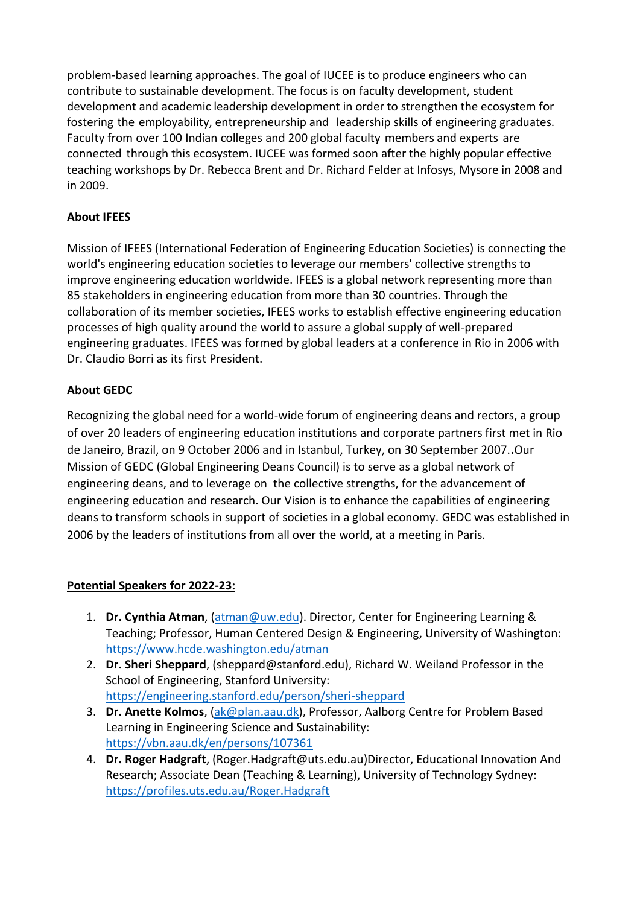problem-based learning approaches. The goal of IUCEE is to produce engineers who can contribute to sustainable development. The focus is on faculty development, student development and academic leadership development in order to strengthen the ecosystem for fostering the employability, entrepreneurship and leadership skills of engineering graduates. Faculty from over 100 Indian colleges and 200 global faculty members and experts are connected through this ecosystem. IUCEE was formed soon after the highly popular effective teaching workshops by Dr. Rebecca Brent and Dr. Richard Felder at Infosys, Mysore in 2008 and in 2009.

## **About IFEES**

Mission of IFEES (International Federation of Engineering Education Societies) is connecting the world's engineering education societies to leverage our members' collective strengths to improve engineering education worldwide. IFEES is a global network representing more than 85 stakeholders in engineering education from more than 30 countries. Through the collaboration of its member societies, IFEES works to establish effective engineering education processes of high quality around the world to assure a global supply of well-prepared engineering graduates. IFEES was formed by global leaders at a conference in Rio in 2006 with Dr. Claudio Borri as its first President.

# **About GEDC**

Recognizing the global need for a world-wide forum of engineering deans and rectors, a group of over 20 leaders of engineering education institutions and corporate partners first met in Rio de Janeiro, Brazil, on 9 October 2006 and in Istanbul, Turkey, on 30 September 2007.**.**Our Mission of GEDC (Global Engineering Deans Council) is to serve as a global network of engineering deans, and to leverage on the collective strengths, for the advancement of engineering education and research. Our Vision is to enhance the capabilities of engineering deans to transform schools in support of societies in a global economy. GEDC was established in 2006 by the leaders of institutions from all over the world, at a meeting in Paris.

### **Potential Speakers for 2022-23:**

- 1. **Dr. Cynthia Atman**, [\(atman@uw.edu\)](mailto:atman@uw.edu). Director, Center for Engineering Learning & Teaching; Professor, Human Centered Design & Engineering, University of Washington: <https://www.hcde.washington.edu/atman>
- 2. **Dr. Sheri Sheppard**, (sheppard@stanford.edu), Richard W. Weiland Professor in the School of Engineering, Stanford University: <https://engineering.stanford.edu/person/sheri-sheppard>
- 3. **Dr. Anette Kolmos**, [\(ak@plan.aau.dk\)](mailto:ak@plan.aau.dk), Professor, Aalborg Centre for Problem Based Learning in Engineering Science and Sustainability: <https://vbn.aau.dk/en/persons/107361>
- 4. **Dr. Roger Hadgraft**, (Roger.Hadgraft@uts.edu.au)Director, Educational Innovation And Research; Associate Dean (Teaching & Learning), University of Technology Sydney: <https://profiles.uts.edu.au/Roger.Hadgraft>